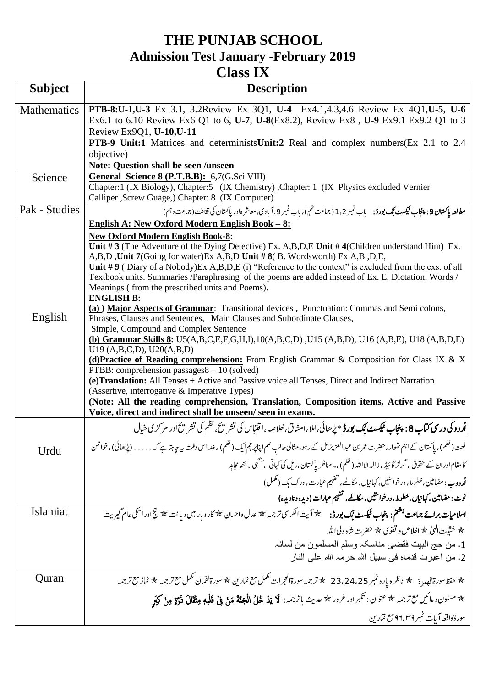## **THE PUNJAB SCHOOL Admission Test January -February 2019 Class IX**

| <b>Subject</b>                                                                                                                            | <b>Description</b>                                                                                                                                                                      |  |  |
|-------------------------------------------------------------------------------------------------------------------------------------------|-----------------------------------------------------------------------------------------------------------------------------------------------------------------------------------------|--|--|
| <b>Mathematics</b>                                                                                                                        | PTB-8:U-1,U-3 Ex 3.1, 3.2Review Ex 3Q1, U-4 Ex4.1,4.3,4.6 Review Ex 4Q1,U-5, U-6                                                                                                        |  |  |
|                                                                                                                                           | Ex6.1 to 6.10 Review Ex6 Q1 to 6, U-7, U-8(Ex8.2), Review Ex8, U-9 Ex9.1 Ex9.2 Q1 to 3                                                                                                  |  |  |
|                                                                                                                                           | Review Ex9Q1, U-10, U-11                                                                                                                                                                |  |  |
|                                                                                                                                           | <b>PTB-9 Unit:1</b> Matrices and determinists Unit:2 Real and complex numbers (Ex 2.1 to 2.4                                                                                            |  |  |
|                                                                                                                                           | objective)                                                                                                                                                                              |  |  |
|                                                                                                                                           | Note: Question shall be seen /unseen<br>General Science 8 (P.T.B.B): 6,7(G.Sci VIII)<br>Chapter: 1 (IX Biology), Chapter: 5 (IX Chemistry), Chapter: 1 (IX Physics excluded Vernier     |  |  |
| Science                                                                                                                                   |                                                                                                                                                                                         |  |  |
|                                                                                                                                           | Calliper , Screw Guage, ) Chapter: 8 (IX Computer)                                                                                                                                      |  |  |
| Pak - Studies                                                                                                                             | <u>مطالعه پاکستان 9: پنجاب فیکسٹ بک بورڈ:</u> باب نمبر 1،2 (جماعت نهم)، باب نمبر 9:آبادی، معاشر داور پاکستان کی ثقافت (جماعت د ہم)                                                      |  |  |
|                                                                                                                                           | English A: New Oxford Modern English Book - 8:                                                                                                                                          |  |  |
|                                                                                                                                           | <b>New Oxford Modern English Book-8:</b>                                                                                                                                                |  |  |
|                                                                                                                                           | Unit #3 (The Adventure of the Dying Detective) Ex. A, B, D, E Unit #4 (Children understand Him) Ex.                                                                                     |  |  |
|                                                                                                                                           | A,B,D, Unit 7(Going for water) Ex A,B,D Unit #8(B. Wordsworth) Ex A,B,D,E,<br>Unit #9 (Diary of a Nobody) Ex A, B, D, E (i) "Reference to the context" is excluded from the exs. of all |  |  |
|                                                                                                                                           | Textbook units. Summaries /Paraphrasing of the poems are added instead of Ex. E. Dictation, Words /                                                                                     |  |  |
|                                                                                                                                           | Meanings (from the prescribed units and Poems).                                                                                                                                         |  |  |
|                                                                                                                                           | <b>ENGLISH B:</b>                                                                                                                                                                       |  |  |
|                                                                                                                                           | (a) Major Aspects of Grammar: Transitional devices, Punctuation: Commas and Semi colons,                                                                                                |  |  |
| English                                                                                                                                   | Phrases, Clauses and Sentences, Main Clauses and Subordinate Clauses,                                                                                                                   |  |  |
|                                                                                                                                           | Simple, Compound and Complex Sentence<br>(b) Grammar Skills 8: U5(A,B,C,E,F,G,H,I),10(A,B,C,D),U15 (A,B,D), U16 (A,B,E), U18 (A,B,D,E)                                                  |  |  |
|                                                                                                                                           | U19 (A,B,C,D), U20(A,B,D)                                                                                                                                                               |  |  |
|                                                                                                                                           | (d) Practice of Reading comprehension: From English Grammar & Composition for Class IX & X                                                                                              |  |  |
|                                                                                                                                           | PTBB: comprehension passages $8 - 10$ (solved)                                                                                                                                          |  |  |
|                                                                                                                                           | (e) Translation: All Tenses + Active and Passive voice all Tenses, Direct and Indirect Narration                                                                                        |  |  |
| (Assertive, interrogative & Imperative Types)<br>(Note: All the reading comprehension, Translation, Composition items, Active and Passive |                                                                                                                                                                                         |  |  |
|                                                                                                                                           | Voice, direct and indirect shall be unseen/seen in exams.                                                                                                                               |  |  |
|                                                                                                                                           | <u>اُروو کی درسی کتاب 8: پنجاب میکسٹ نیک بورڈ</u> * پڑھائی،املا،امشاق،خلاصہ،اقتباس کی تشریح، نظم کی تشریح اور مرکزی خیال                                                                |  |  |
| Urdu                                                                                                                                      | نعت ( نظم )، پاکستان کے اہم تہوار ،حضرت عمر بن عبد العزیز مل کے رہو ،مثالی طالب علم اپناپر چم ایک ( نظم ) ،خدااس وقت بیہ جاہتاہے کہ ۔۔۔۔۔ (پڑھائی) ،خواتین                              |  |  |
|                                                                                                                                           | کامقام اور ان کے حقوق ، گرلز گائیڈ ، لاالہ الااللہ ( نظم ) ،۔ مناظر پاکستان ،ریل کی کہانی   ، آگہی ، ننھامجاہد                                                                          |  |  |
|                                                                                                                                           | <b>اُردوب</b> : مضامین، خطوط، درخواستیں، کہانیاں، مکالمے، تفہیم عبارت، ورک بک (مکمل)                                                                                                    |  |  |
|                                                                                                                                           | نوٹ : مضامین ، کہانیاں ،خطوط ، درخواستیں ، مکالمے ، تفہیم عبارات ( دیدہ و نادیدہ)                                                                                                       |  |  |
| Islamiat                                                                                                                                  | <u>اسلام<b>یات برائے جماعت ہشمْ : پنجاب ٹیکسٹ بَک بورڈ : س</b></u> ے پھرآیت الکرسی ترجمہ کچڑ عدل داحسان & کاروبار میں دیانت $\frac{1}{2}$ جج اور اسکی عالم گیریت                        |  |  |
|                                                                                                                                           | ★ خشيت الهي ★ اخلاص و تقوي ★ حضرت شاه ولي الله                                                                                                                                          |  |  |
|                                                                                                                                           | 1. من حج البيت فقضيي مناسكہ وسلم المسلمون من لسانہ                                                                                                                                      |  |  |
|                                                                                                                                           | 2ـ من اغبرت قدماه في سبيل الله حرمہ الله على النار                                                                                                                                      |  |  |
| Quran                                                                                                                                     | ☆ حفظ سورةالعهدرة همخ ناظره پاره نمبر 23،24،25 ﴾ ترجمه سورةالحجرات كمكل مع تمارين ﴾ سورة لقمان كمكل مع ترجمه ﴾ نماز مع ترجمه                                                            |  |  |
|                                                                                                                                           | * مسنون دعائيں مع ترجمہ * عنوان : تكبر اور غرور * حديث باتر جمہ : لَا يَدْ خْلُ الْمَجَنَّةَ مَنْ فِيْ قَلْبه مِثقَالَ ذَرَّةٍ مِنْ كَيَهِي                                             |  |  |
|                                                                                                                                           | سورة واقعه آيات تمبر ٩٦،٣٩ مع تمارين                                                                                                                                                    |  |  |